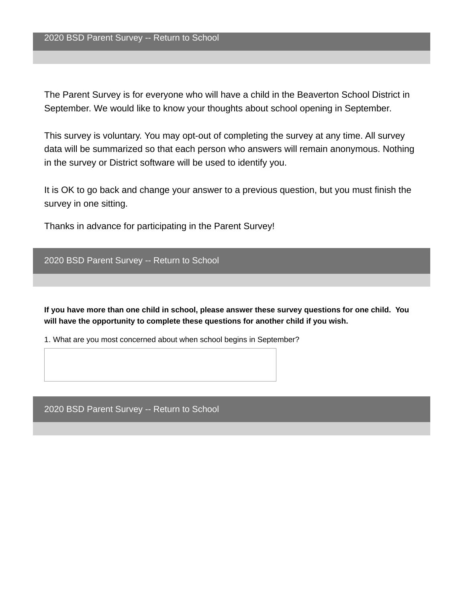The Parent Survey is for everyone who will have a child in the Beaverton School District in September. We would like to know your thoughts about school opening in September.

This survey is voluntary. You may opt-out of completing the survey at any time. All survey data will be summarized so that each person who answers will remain anonymous. Nothing in the survey or District software will be used to identify you.

It is OK to go back and change your answer to a previous question, but you must finish the survey in one sitting.

Thanks in advance for participating in the Parent Survey!

```
2020 BSD Parent Survey -- Return to School
```
**If you have more than one child in school, please answer these survey questions for one child. You will have the opportunity to complete these questions for another child if you wish.**

1. What are you most concerned about when school begins in September?

2020 BSD Parent Survey -- Return to School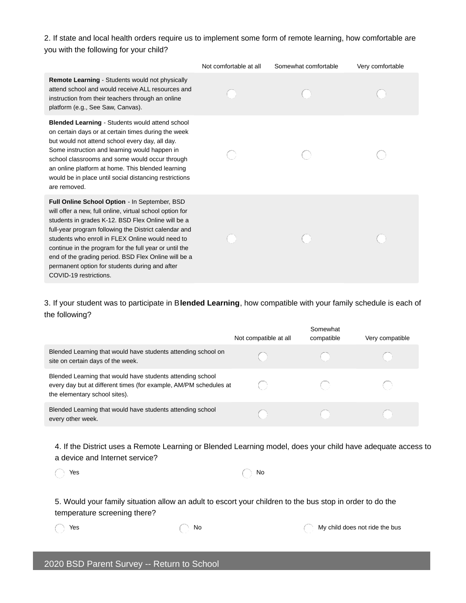2. If state and local health orders require us to implement some form of remote learning, how comfortable are you with the following for your child?

|                                                                                                                                                                                                                                                                                                                                                                                                                                                                            | Not comfortable at all | Somewhat comfortable | Very comfortable |
|----------------------------------------------------------------------------------------------------------------------------------------------------------------------------------------------------------------------------------------------------------------------------------------------------------------------------------------------------------------------------------------------------------------------------------------------------------------------------|------------------------|----------------------|------------------|
| <b>Remote Learning - Students would not physically</b><br>attend school and would receive ALL resources and<br>instruction from their teachers through an online<br>platform (e.g., See Saw, Canvas).                                                                                                                                                                                                                                                                      |                        |                      |                  |
| <b>Blended Learning - Students would attend school</b><br>on certain days or at certain times during the week<br>but would not attend school every day, all day.<br>Some instruction and learning would happen in<br>school classrooms and some would occur through<br>an online platform at home. This blended learning<br>would be in place until social distancing restrictions<br>are removed.                                                                         |                        |                      |                  |
| Full Online School Option - In September, BSD<br>will offer a new, full online, virtual school option for<br>students in grades K-12. BSD Flex Online will be a<br>full-year program following the District calendar and<br>students who enroll in FLEX Online would need to<br>continue in the program for the full year or until the<br>end of the grading period. BSD Flex Online will be a<br>permanent option for students during and after<br>COVID-19 restrictions. |                        |                      |                  |

3. If your student was to participate in B**lended Learning**, how compatible with your family schedule is each of the following?

|                                                                                                                                                                  | Not compatible at all | Somewhat<br>compatible | Very compatible |
|------------------------------------------------------------------------------------------------------------------------------------------------------------------|-----------------------|------------------------|-----------------|
| Blended Learning that would have students attending school on<br>site on certain days of the week.                                                               |                       |                        |                 |
| Blended Learning that would have students attending school<br>every day but at different times (for example, AM/PM schedules at<br>the elementary school sites). |                       |                        |                 |
| Blended Learning that would have students attending school<br>every other week.                                                                                  |                       |                        |                 |

4. If the District uses a Remote Learning or Blended Learning model, does your child have adequate access to a device and Internet service?

| $\bigcap$ Yes | $\bigcap$ No |
|---------------|--------------|
|               |              |

| $\sim$ |
|--------|
|        |

5. Would your family situation allow an adult to escort your children to the bus stop in order to do the temperature screening there?

Yes No My child does not ride the bus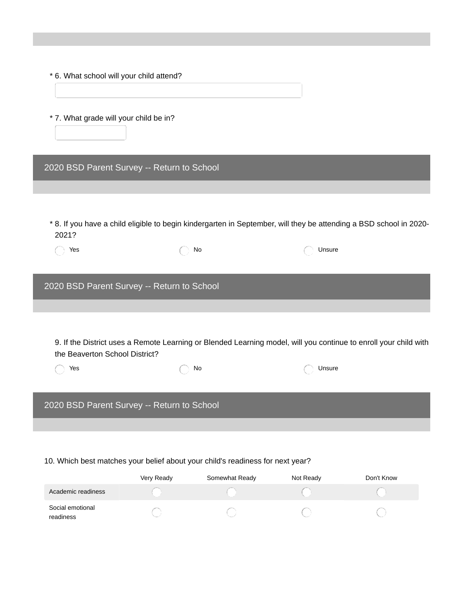| * 6. What school will your child attend?                                       |    |                                                                                                                    |  |
|--------------------------------------------------------------------------------|----|--------------------------------------------------------------------------------------------------------------------|--|
| * 7. What grade will your child be in?                                         |    |                                                                                                                    |  |
| 2020 BSD Parent Survey -- Return to School                                     |    |                                                                                                                    |  |
|                                                                                |    |                                                                                                                    |  |
| 2021?                                                                          |    | * 8. If you have a child eligible to begin kindergarten in September, will they be attending a BSD school in 2020- |  |
| Yes                                                                            | No | Unsure                                                                                                             |  |
|                                                                                |    |                                                                                                                    |  |
| 2020 BSD Parent Survey -- Return to School                                     |    |                                                                                                                    |  |
|                                                                                |    |                                                                                                                    |  |
|                                                                                |    |                                                                                                                    |  |
| the Beaverton School District?                                                 |    | 9. If the District uses a Remote Learning or Blended Learning model, will you continue to enroll your child with   |  |
| Yes                                                                            | No | Unsure                                                                                                             |  |
|                                                                                |    |                                                                                                                    |  |
| 2020 BSD Parent Survey -- Return to School                                     |    |                                                                                                                    |  |
|                                                                                |    |                                                                                                                    |  |
| 10. Which best matches your belief about your child's readiness for next year? |    |                                                                                                                    |  |

Very Ready Somewhat Ready Not Ready Don't Know Academic readiness  $\bigcirc$  $\bigcirc$  $\bigcirc$  $\left(\begin{array}{c} \end{array}\right)$ Social emotional  $\bigcirc$  $\bigcirc$  $\bigcirc$  $\bigcirc$ readiness